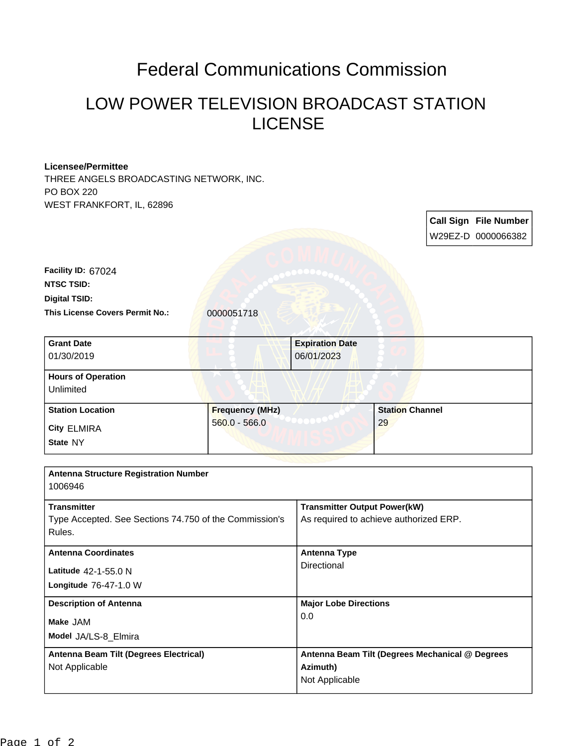## Federal Communications Commission

## LOW POWER TELEVISION BROADCAST STATION LICENSE

## **Licensee/Permittee**

THREE ANGELS BROADCASTING NETWORK, INC. PO BOX 220 WEST FRANKFORT, IL, 62896

|                                                                                                    |                                           |                                                                               |                              |  | <b>Call Sign File Number</b><br>W29EZ-D 0000066382 |
|----------------------------------------------------------------------------------------------------|-------------------------------------------|-------------------------------------------------------------------------------|------------------------------|--|----------------------------------------------------|
| Facility ID: 67024<br><b>NTSC TSID:</b><br><b>Digital TSID:</b><br>This License Covers Permit No.: | 0000051718                                |                                                                               |                              |  |                                                    |
| <b>Grant Date</b><br>01/30/2019                                                                    |                                           | <b>Expiration Date</b><br>06/01/2023                                          |                              |  |                                                    |
| <b>Hours of Operation</b><br>Unlimited                                                             |                                           |                                                                               |                              |  |                                                    |
| <b>Station Location</b><br><b>City ELMIRA</b><br>State NY                                          | <b>Frequency (MHz)</b><br>$560.0 - 566.0$ |                                                                               | <b>Station Channel</b><br>29 |  |                                                    |
| <b>Antenna Structure Registration Number</b><br>1006946                                            |                                           |                                                                               |                              |  |                                                    |
| <b>Transmitter</b><br>Type Accepted. See Sections 74.750 of the Commission's<br>Rules.             |                                           | <b>Transmitter Output Power(kW)</b><br>As required to achieve authorized ERP. |                              |  |                                                    |
| <b>Antenna Coordinates</b><br>Latitude 42-1-55.0 N<br>Longitude 76-47-1.0 W                        |                                           | <b>Antenna Type</b><br>Directional                                            |                              |  |                                                    |
| <b>Description of Antenna</b><br>Make JAM<br>Model JA/LS-8_Elmira                                  |                                           | <b>Major Lobe Directions</b><br>0.0                                           |                              |  |                                                    |
| Antenna Beam Tilt (Degrees Electrical)<br>Not Applicable                                           |                                           | Antenna Beam Tilt (Degrees Mechanical @ Degrees<br>Azimuth)<br>Not Applicable |                              |  |                                                    |